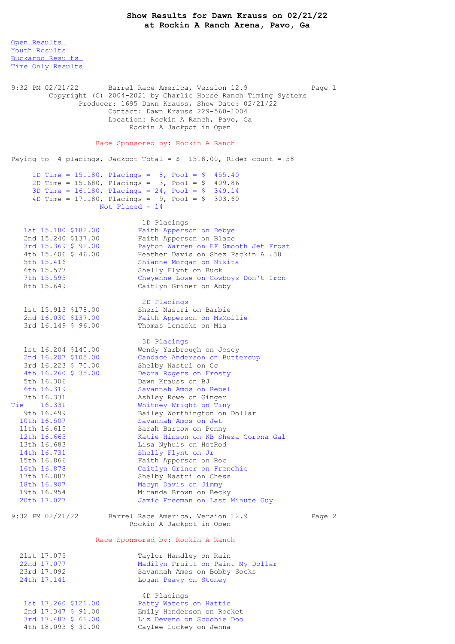Open [Results](file:///C:/Users/flori/Downloads/Show_Results_Dawn_Krauss_02_21_22.html#Open) Youth [Results](file:///C:/Users/flori/Downloads/Show_Results_Dawn_Krauss_02_21_22.html#Youth) [Buckaroo](file:///C:/Users/flori/Downloads/Show_Results_Dawn_Krauss_02_21_22.html#Buckaroo) Results Time Only [Results](file:///C:/Users/flori/Downloads/Show_Results_Dawn_Krauss_02_21_22.html#Time%20Only) 9:32 PM 02/21/22 Barrel Race America, Version 12.9 Page 1 Copyright (C) 2004-2021 by Charlie Horse Ranch Timing Systems Producer: 1695 Dawn Krauss, Show Date: 02/21/22 Contact: Dawn Krauss 229-560-1004 Location: Rockin A Ranch, Pavo, Ga Rockin A Jackpot in Open Race Sponsored by: Rockin A Ranch Paying to 4 placings, Jackpot Total =  $$ 1518.00$ , Rider count = 58 1D Time = 15.180, Placings = 8, Pool = \$ 455.40 2D Time = 15.680, Placings =  $3$ , Pool = \$ 409.86 3D Time = 16.180, Placings = 24, Pool = \$ 349.14 4D Time =  $17.180$ , Placings =  $9$ , Pool = \$ 303.60 Not Placed = 14 1D Placings 1st 15.180 \$182.00 Faith Apperson on Debye<br>
2nd 15.240 \$137.00 Faith Apperson on Blaze 2nd 15.240 \$137.00 Faith Apperson on Blaze 3rd 15.369 \$ 91.00 Payton Warren on EF Smooth Jet Frost 4th 15.406 \$ 46.00 Heather Davis on Shez Packin A .38 5th 15.416 Shianne Morgan on Nikita 6th 15.577 Shelly Flynt on Buck 7th 15.593 Cheyenne Lowe on Cowboys Don't Iron 8th 15.649 Caitlyn Griner on Abby 2D Placings 1st 15.913 \$178.00 Sheri Nastri on Barbie 2nd 16.030 \$137.00 Faith Apperson on MsMollie 3rd 16.149 \$ 96.00 Thomas Lemacks on Mia 3D Placings 1st 16.204 \$140.00 Wendy Yarbrough on Josey 2nd 16.207 \$105.00 Candace Anderson on Buttercup 3rd 16.223 \$ 70.00 Shelby Nastri on Cc 4th 16.260 \$ 35.00 Debra Rogers on Frosty 5th 16.306 Dawn Krauss on BJ 6th 16.319 Savannah Amos on Rebel 7th 16.331 Ashley Rowe on Ginger Tie 16.331 Whitney Wright on Tiny 9th 16.499 Bailey Worthington on Dollar 10th 16.507 Savannah Amos on Jet 11th 16.615 Sarah Bartow on Penny 12th 16.663 Katie Hinson on KB Sheza Corona Gal 13th 16.683 Lisa Nyhuis on HotRod 14th 16.731 Shelly Flynt on Jr 15th 16.866 Faith Apperson on Roc 16th 16.878 Caitlyn Griner on Frenchie 17th 16.887 Shelby Nastri on Chess 18th 16.907 Macyn Davis on Jimmy 19th 16.954 Miranda Brown on Becky 20th 17.027 Jamie Freeman on Last Minute Guy 9:32 PM 02/21/22 Barrel Race America, Version 12.9 Page 2 Rockin A Jackpot in Open Race Sponsored by: Rockin A Ranch 21st 17.075 Taylor Handley on Rain<br>22nd 17.077 Madilyn Pruitt on Pain 22nd 17.077 Madilyn Pruitt on Paint My Dollar<br>23rd 17.092 Savannah Amos on Bobby Socks Savannah Amos on Bobby Socks 24th 17.141 Logan Peavy on Stoney 4D Placings 1st 17.260 \$121.00 Patty Waters on Hattie 2nd 17.347 \$ 91.00 Emily Henderson on Rocket 3rd 17.487 \$ 61.00 Liz Deveno on Scoobie Doo

4th 18.093 \$ 30.00 Caylee Luckey on Jenna